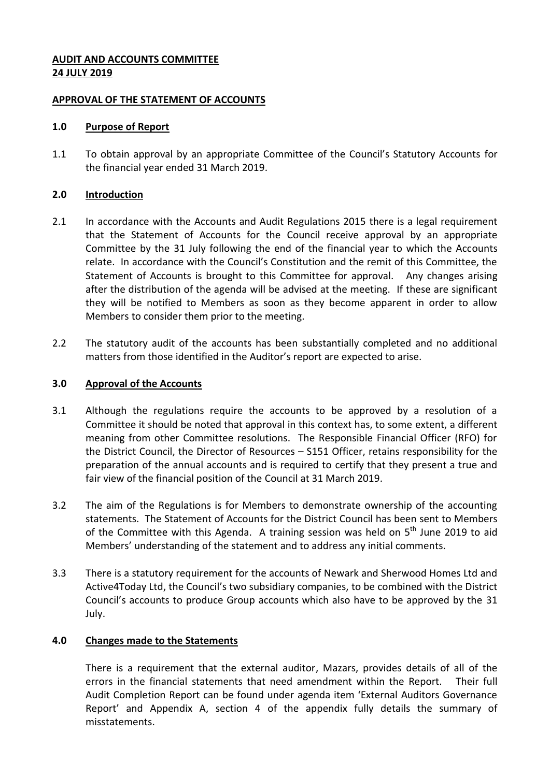## **AUDIT AND ACCOUNTS COMMITTEE 24 JULY 2019**

### **APPROVAL OF THE STATEMENT OF ACCOUNTS**

### **1.0 Purpose of Report**

1.1 To obtain approval by an appropriate Committee of the Council's Statutory Accounts for the financial year ended 31 March 2019.

## **2.0 Introduction**

- 2.1 In accordance with the Accounts and Audit Regulations 2015 there is a legal requirement that the Statement of Accounts for the Council receive approval by an appropriate Committee by the 31 July following the end of the financial year to which the Accounts relate. In accordance with the Council's Constitution and the remit of this Committee, the Statement of Accounts is brought to this Committee for approval. Any changes arising after the distribution of the agenda will be advised at the meeting. If these are significant they will be notified to Members as soon as they become apparent in order to allow Members to consider them prior to the meeting.
- 2.2 The statutory audit of the accounts has been substantially completed and no additional matters from those identified in the Auditor's report are expected to arise.

# **3.0 Approval of the Accounts**

- 3.1 Although the regulations require the accounts to be approved by a resolution of a Committee it should be noted that approval in this context has, to some extent, a different meaning from other Committee resolutions. The Responsible Financial Officer (RFO) for the District Council, the Director of Resources – S151 Officer, retains responsibility for the preparation of the annual accounts and is required to certify that they present a true and fair view of the financial position of the Council at 31 March 2019.
- 3.2 The aim of the Regulations is for Members to demonstrate ownership of the accounting statements. The Statement of Accounts for the District Council has been sent to Members of the Committee with this Agenda. A training session was held on 5<sup>th</sup> June 2019 to aid Members' understanding of the statement and to address any initial comments.
- 3.3 There is a statutory requirement for the accounts of Newark and Sherwood Homes Ltd and Active4Today Ltd, the Council's two subsidiary companies, to be combined with the District Council's accounts to produce Group accounts which also have to be approved by the 31 July.

# **4.0 Changes made to the Statements**

There is a requirement that the external auditor, Mazars, provides details of all of the errors in the financial statements that need amendment within the Report. Their full Audit Completion Report can be found under agenda item 'External Auditors Governance Report' and Appendix A, section 4 of the appendix fully details the summary of misstatements.